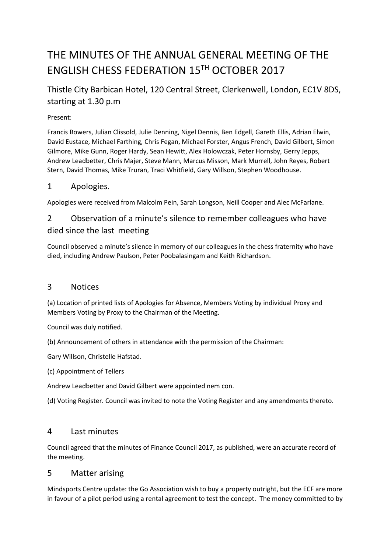# THE MINUTES OF THE ANNUAL GENERAL MEETING OF THE ENGLISH CHESS FEDERATION 15TH OCTOBER 2017

# Thistle City Barbican Hotel, 120 Central Street, Clerkenwell, London, EC1V 8DS, starting at 1.30 p.m

#### Present:

Francis Bowers, Julian Clissold, Julie Denning, Nigel Dennis, Ben Edgell, Gareth Ellis, Adrian Elwin, David Eustace, Michael Farthing, Chris Fegan, Michael Forster, Angus French, David Gilbert, Simon Gilmore, Mike Gunn, Roger Hardy, Sean Hewitt, Alex Holowczak, Peter Hornsby, Gerry Jepps, Andrew Leadbetter, Chris Majer, Steve Mann, Marcus Misson, Mark Murrell, John Reyes, Robert Stern, David Thomas, Mike Truran, Traci Whitfield, Gary Willson, Stephen Woodhouse.

## 1 Apologies.

Apologies were received from Malcolm Pein, Sarah Longson, Neill Cooper and Alec McFarlane.

## 2 Observation of a minute's silence to remember colleagues who have died since the last meeting

Council observed a minute's silence in memory of our colleagues in the chess fraternity who have died, including Andrew Paulson, Peter Poobalasingam and Keith Richardson.

## 3 Notices

(a) Location of printed lists of Apologies for Absence, Members Voting by individual Proxy and Members Voting by Proxy to the Chairman of the Meeting.

Council was duly notified.

(b) Announcement of others in attendance with the permission of the Chairman:

Gary Willson, Christelle Hafstad.

(c) Appointment of Tellers

Andrew Leadbetter and David Gilbert were appointed nem con.

(d) Voting Register. Council was invited to note the Voting Register and any amendments thereto.

## 4 Last minutes

Council agreed that the minutes of Finance Council 2017, as published, were an accurate record of the meeting.

## 5 Matter arising

Mindsports Centre update: the Go Association wish to buy a property outright, but the ECF are more in favour of a pilot period using a rental agreement to test the concept. The money committed to by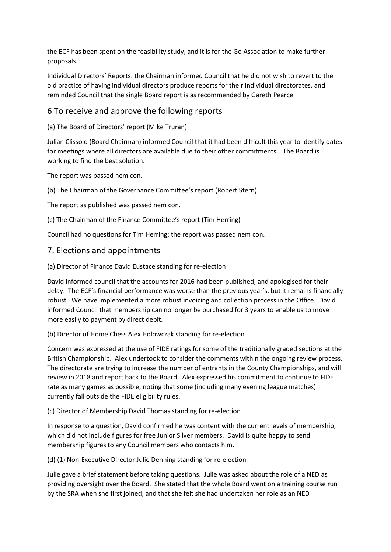the ECF has been spent on the feasibility study, and it is for the Go Association to make further proposals.

Individual Directors' Reports: the Chairman informed Council that he did not wish to revert to the old practice of having individual directors produce reports for their individual directorates, and reminded Council that the single Board report is as recommended by Gareth Pearce.

## 6 To receive and approve the following reports

(a) The Board of Directors' report (Mike Truran)

Julian Clissold (Board Chairman) informed Council that it had been difficult this year to identify dates for meetings where all directors are available due to their other commitments. The Board is working to find the best solution.

The report was passed nem con.

(b) The Chairman of the Governance Committee's report (Robert Stern)

The report as published was passed nem con.

(c) The Chairman of the Finance Committee's report (Tim Herring)

Council had no questions for Tim Herring; the report was passed nem con.

#### 7. Elections and appointments

(a) Director of Finance David Eustace standing for re-election

David informed council that the accounts for 2016 had been published, and apologised for their delay. The ECF's financial performance was worse than the previous year's, but it remains financially robust. We have implemented a more robust invoicing and collection process in the Office. David informed Council that membership can no longer be purchased for 3 years to enable us to move more easily to payment by direct debit.

#### (b) Director of Home Chess Alex Holowczak standing for re-election

Concern was expressed at the use of FIDE ratings for some of the traditionally graded sections at the British Championship. Alex undertook to consider the comments within the ongoing review process. The directorate are trying to increase the number of entrants in the County Championships, and will review in 2018 and report back to the Board. Alex expressed his commitment to continue to FIDE rate as many games as possible, noting that some (including many evening league matches) currently fall outside the FIDE eligibility rules.

#### (c) Director of Membership David Thomas standing for re-election

In response to a question, David confirmed he was content with the current levels of membership, which did not include figures for free Junior Silver members. David is quite happy to send membership figures to any Council members who contacts him.

(d) (1) Non-Executive Director Julie Denning standing for re-election

Julie gave a brief statement before taking questions. Julie was asked about the role of a NED as providing oversight over the Board. She stated that the whole Board went on a training course run by the SRA when she first joined, and that she felt she had undertaken her role as an NED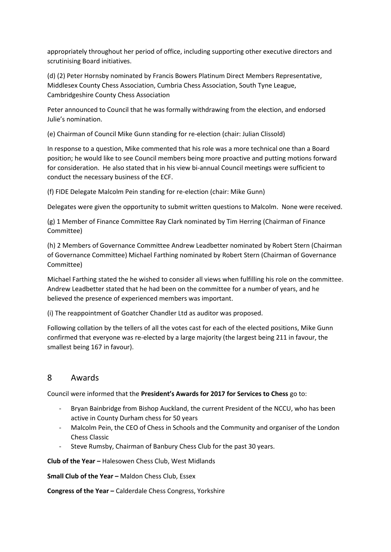appropriately throughout her period of office, including supporting other executive directors and scrutinising Board initiatives.

(d) (2) Peter Hornsby nominated by Francis Bowers Platinum Direct Members Representative, Middlesex County Chess Association, Cumbria Chess Association, South Tyne League, Cambridgeshire County Chess Association

Peter announced to Council that he was formally withdrawing from the election, and endorsed Julie's nomination.

(e) Chairman of Council Mike Gunn standing for re-election (chair: Julian Clissold)

In response to a question, Mike commented that his role was a more technical one than a Board position; he would like to see Council members being more proactive and putting motions forward for consideration. He also stated that in his view bi-annual Council meetings were sufficient to conduct the necessary business of the ECF.

(f) FIDE Delegate Malcolm Pein standing for re-election (chair: Mike Gunn)

Delegates were given the opportunity to submit written questions to Malcolm. None were received.

(g) 1 Member of Finance Committee Ray Clark nominated by Tim Herring (Chairman of Finance Committee)

(h) 2 Members of Governance Committee Andrew Leadbetter nominated by Robert Stern (Chairman of Governance Committee) Michael Farthing nominated by Robert Stern (Chairman of Governance Committee)

Michael Farthing stated the he wished to consider all views when fulfilling his role on the committee. Andrew Leadbetter stated that he had been on the committee for a number of years, and he believed the presence of experienced members was important.

(i) The reappointment of Goatcher Chandler Ltd as auditor was proposed.

Following collation by the tellers of all the votes cast for each of the elected positions, Mike Gunn confirmed that everyone was re-elected by a large majority (the largest being 211 in favour, the smallest being 167 in favour).

#### 8 Awards

Council were informed that the **President's Awards for 2017 for Services to Chess** go to:

- Bryan Bainbridge from Bishop Auckland, the current President of the NCCU, who has been active in County Durham chess for 50 years
- Malcolm Pein, the CEO of Chess in Schools and the Community and organiser of the London Chess Classic
- Steve Rumsby, Chairman of Banbury Chess Club for the past 30 years.

**Club of the Year –** [Halesowen Chess Club,](https://www.halesowenchessclub.org.uk/) West Midlands

**Small Club of the Year -** [Maldon Chess Club,](http://www.maldonchessclub.org.uk/) Essex

**Congress of the Year –** Calderdale Chess Congress, Yorkshire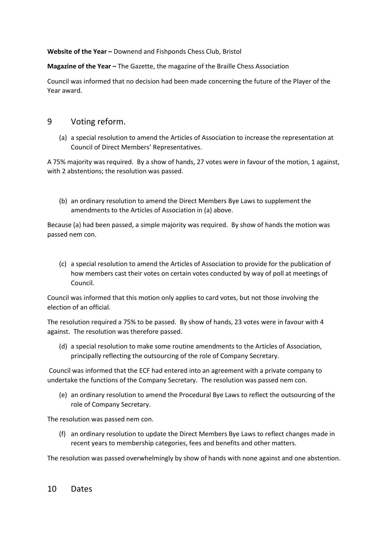**Website of the Year –** [Downend and Fishponds Chess Club,](http://www.downendchess.com/home) Bristol

**Magazine of the Year -** The Gazette, the magazine of the Braille Chess Association

Council was informed that no decision had been made concerning the future of the Player of the Year award.

#### 9 Voting reform.

(a) a special resolution to amend the Articles of Association to increase the representation at Council of Direct Members' Representatives.

A 75% majority was required. By a show of hands, 27 votes were in favour of the motion, 1 against, with 2 abstentions; the resolution was passed.

(b) an ordinary resolution to amend the Direct Members Bye Laws to supplement the amendments to the Articles of Association in (a) above.

Because (a) had been passed, a simple majority was required. By show of hands the motion was passed nem con.

(c) a special resolution to amend the Articles of Association to provide for the publication of how members cast their votes on certain votes conducted by way of poll at meetings of Council.

Council was informed that this motion only applies to card votes, but not those involving the election of an official.

The resolution required a 75% to be passed. By show of hands, 23 votes were in favour with 4 against. The resolution was therefore passed.

(d) a special resolution to make some routine amendments to the Articles of Association, principally reflecting the outsourcing of the role of Company Secretary.

 Council was informed that the ECF had entered into an agreement with a private company to undertake the functions of the Company Secretary. The resolution was passed nem con.

(e) an ordinary resolution to amend the Procedural Bye Laws to reflect the outsourcing of the role of Company Secretary.

The resolution was passed nem con.

(f) an ordinary resolution to update the Direct Members Bye Laws to reflect changes made in recent years to membership categories, fees and benefits and other matters.

The resolution was passed overwhelmingly by show of hands with none against and one abstention.

10 Dates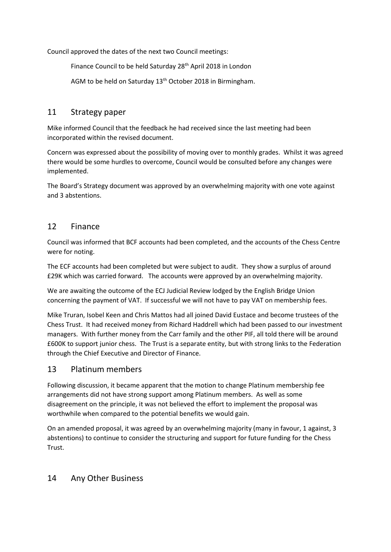Council approved the dates of the next two Council meetings:

Finance Council to be held Saturday 28<sup>th</sup> April 2018 in London

AGM to be held on Saturday 13<sup>th</sup> October 2018 in Birmingham.

#### 11 Strategy paper

Mike informed Council that the feedback he had received since the last meeting had been incorporated within the revised document.

Concern was expressed about the possibility of moving over to monthly grades. Whilst it was agreed there would be some hurdles to overcome, Council would be consulted before any changes were implemented.

The Board's Strategy document was approved by an overwhelming majority with one vote against and 3 abstentions.

## 12 Finance

Council was informed that BCF accounts had been completed, and the accounts of the Chess Centre were for noting.

The ECF accounts had been completed but were subject to audit. They show a surplus of around £29K which was carried forward. The accounts were approved by an overwhelming majority.

We are awaiting the outcome of the ECJ Judicial Review lodged by the English Bridge Union concerning the payment of VAT. If successful we will not have to pay VAT on membership fees.

Mike Truran, Isobel Keen and Chris Mattos had all joined David Eustace and become trustees of the Chess Trust. It had received money from Richard Haddrell which had been passed to our investment managers. With further money from the Carr family and the other PIF, all told there will be around £600K to support junior chess. The Trust is a separate entity, but with strong links to the Federation through the Chief Executive and Director of Finance.

#### 13 Platinum members

Following discussion, it became apparent that the motion to change Platinum membership fee arrangements did not have strong support among Platinum members. As well as some disagreement on the principle, it was not believed the effort to implement the proposal was worthwhile when compared to the potential benefits we would gain.

On an amended proposal, it was agreed by an overwhelming majority (many in favour, 1 against, 3 abstentions) to continue to consider the structuring and support for future funding for the Chess Trust.

## 14 Any Other Business